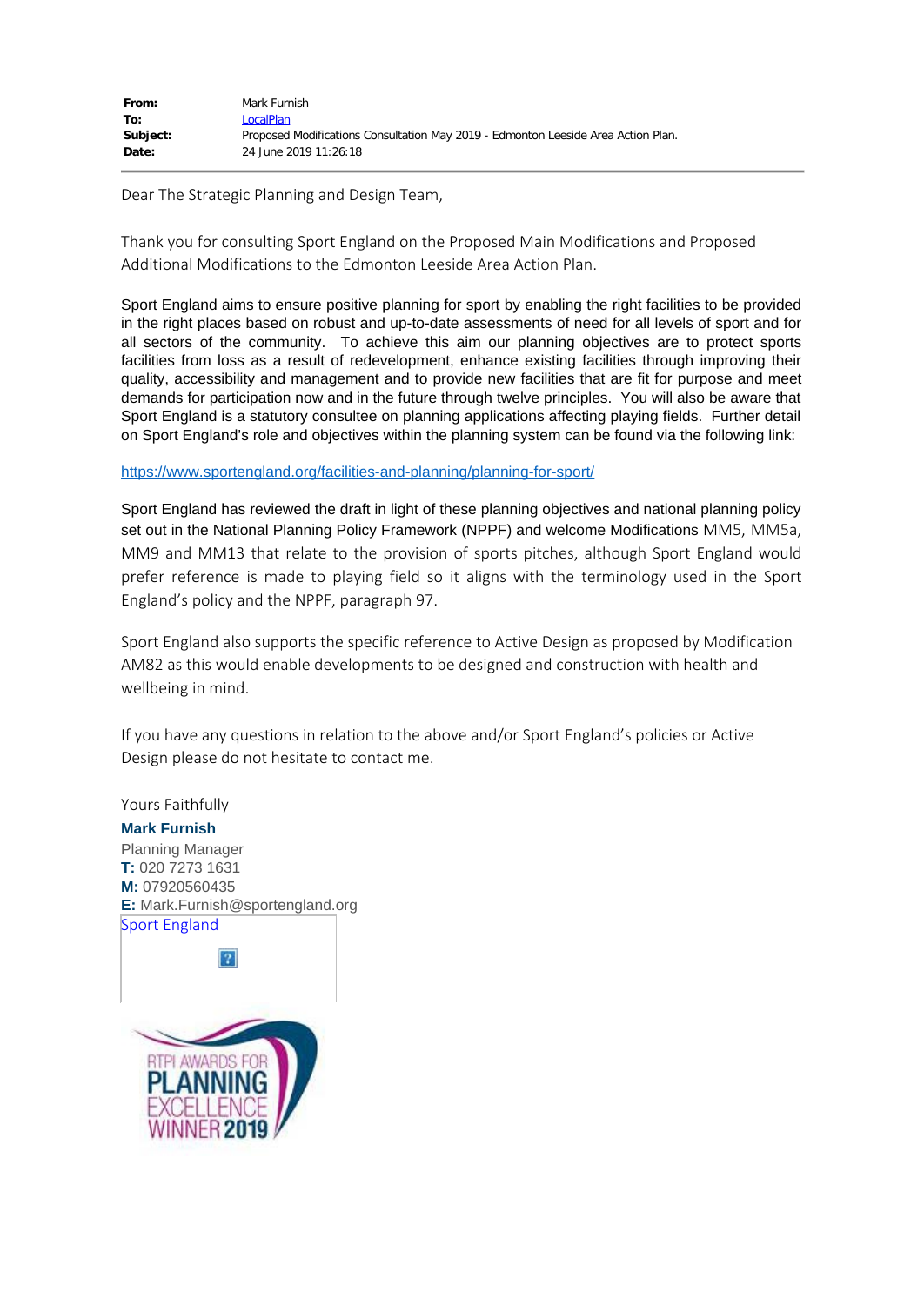| From:    | Mark Furnish                                                                      |
|----------|-----------------------------------------------------------------------------------|
| To:      | LocalPlan                                                                         |
| Subject: | Proposed Modifications Consultation May 2019 - Edmonton Leeside Area Action Plan. |
| Date:    | 24 June 2019 11:26:18                                                             |

Dear The Strategic Planning and Design Team,

Thank you for consulting Sport England on the Proposed Main Modifications and Proposed Additional Modifications to the Edmonton Leeside Area Action Plan.

Sport England aims to ensure positive planning for sport by enabling the right facilities to be provided in the right places based on robust and up-to-date assessments of need for all levels of sport and for all sectors of the community. To achieve this aim our planning objectives are to protect sports facilities from loss as a result of redevelopment, enhance existing facilities through improving their quality, accessibility and management and to provide new facilities that are fit for purpose and meet demands for participation now and in the future through twelve principles. You will also be aware that Sport England is a statutory consultee on planning applications affecting playing fields. Further detail on Sport England's role and objectives within the planning system can be found via the following link:

## <https://www.sportengland.org/facilities-and-planning/planning-for-sport/>

Sport England has reviewed the draft in light of these planning objectives and national planning policy set out in the National Planning Policy Framework (NPPF) and welcome Modifications MM5, MM5a, MM9 and MM13 that relate to the provision of sports pitches, although Sport England would prefer reference is made to playing field so it aligns with the terminology used in the Sport England's policy and the NPPF, paragraph 97.

Sport England also supports the specific reference to Active Design as proposed by Modification AM82 as this would enable developments to be designed and construction with health and wellbeing in mind.

If you have any questions in relation to the above and/or Sport England's policies or Active Design please do not hesitate to contact me.